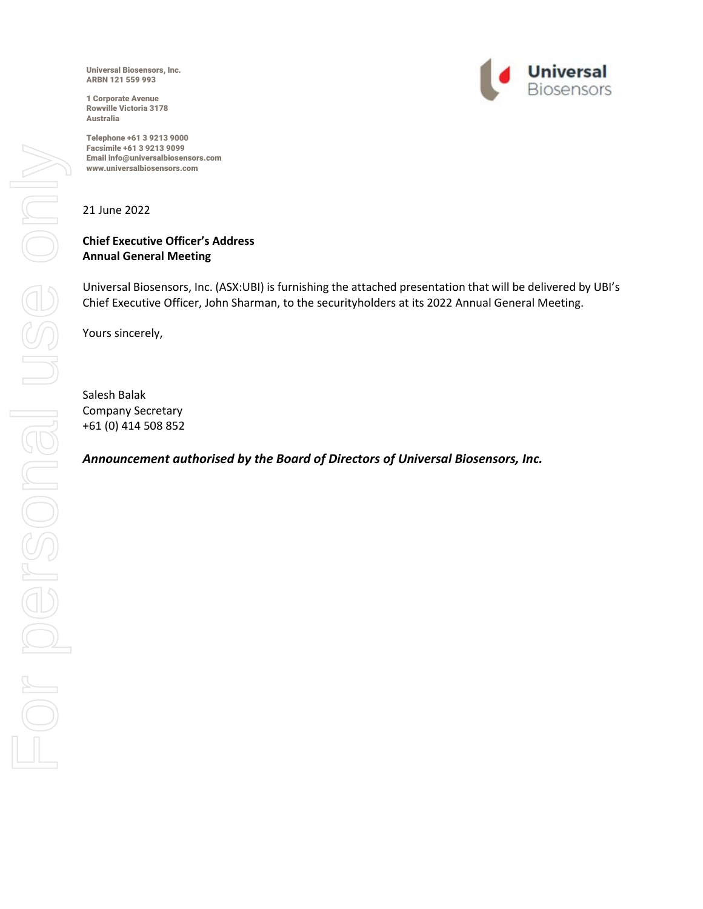Universal Biosensors, Inc. ARBN 121 559 993

1 Corporate Avenue Rowville Victoria 3178 Australia

Telephone +61 3 9213 9000 Facsimile +61 3 9213 9099 Email info@universalbiosensors.com www.universalbiosensors.com



21 June 2022

#### **Chief Executive Officer's Address Annual General Meeting**

Universal Biosensors, Inc. (ASX:UBI) is furnishing the attached presentation that will be delivered by UBI's Chief Executive Officer, John Sharman, to the securityholders at its 2022 Annual General Meeting.

Yours sincerely,

Salesh Balak Company Secretary +61 (0) 414 508 852

*Announcement authorised by the Board of Directors of Universal Biosensors, Inc.*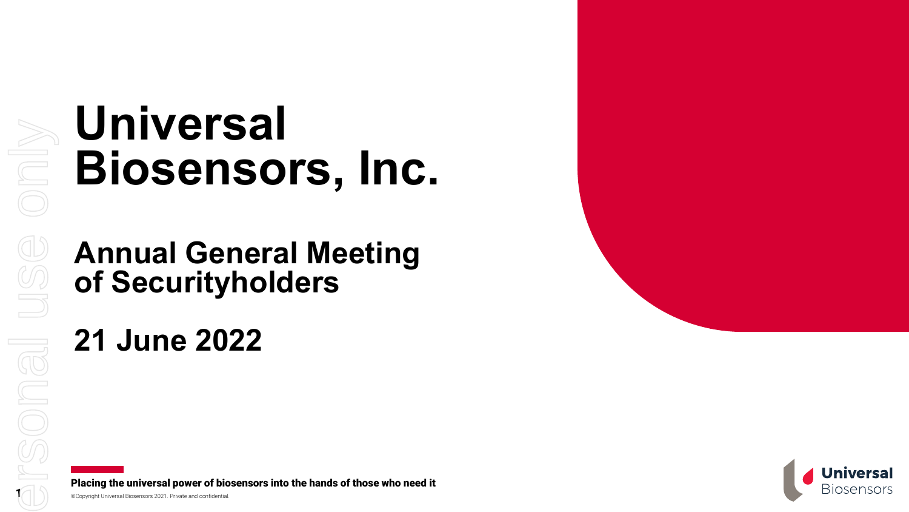# **Universal Biosensors, Inc.**

**Annual General Meeting of Securityholders**

## **21 June 2022**

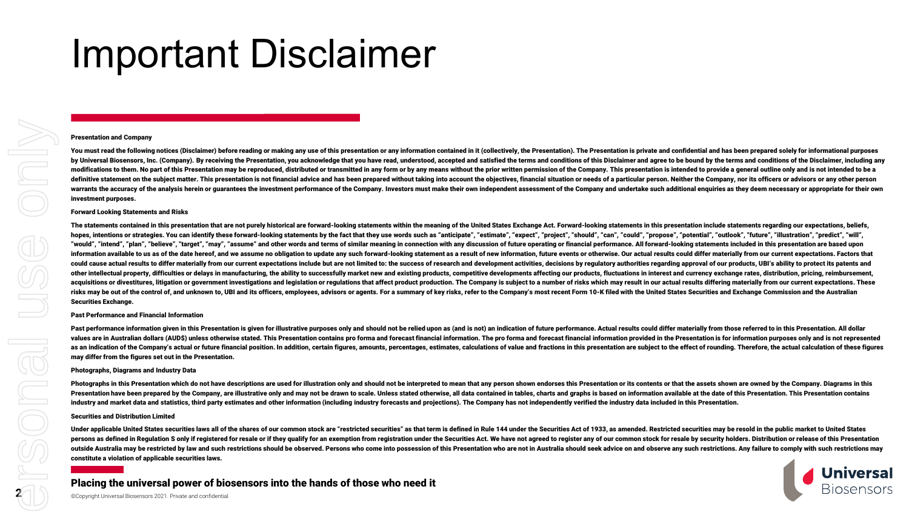## Important Disclaimer

#### Presentation and Company

You must read the following notices (Disclaimer) before reading or making any use of this presentation or any information contained in it (collectively, the Presentation). The Presentation is private and confidential and h by Universal Biosensors. Inc. (Company). By receiving the Presentation, you acknowledge that you have read, understood, accepted and satisfied the terms and conditions of this Disclaimer and agree to be bound by the terms modifications to them. No part of this Presentation may be reproduced, distributed or transmitted in any form or by any means without the prior written permission of the Company. This presentation is intended to provide a definitive statement on the subiect matter. This presentation is not financial advice and has been prepared without taking into account the obiectives, financial situation or needs of a particular person. Neither the Compa warrants the accuracy of the analysis herein or guarantees the investment performance of the Company. Investors must make their own independent assessment of the Company and undertake such additional enquiries as they deem investment purposes.

#### Forward Looking Statements and Risks

The statements contained in this presentation that are not purely historical are forward-looking statements within the meaning of the United States Exchange Act. Forward-looking statements in this presentation include stat hopes, intentions or strategies. You can identify these forward-looking statements by the fact that they use words such as "anticipate", "estimate", "expect", "project", "should", "can", "could", "propose", "potential", "o "would". "intend". "plan". "believe". "target". "may". "assume" and other words and terms of similar meaning in connection with any discussion of future operating or financial performance. All forward-looking statements in information available to us as of the date hereof, and we assume no obligation to update any such forward-looking statement as a result of new information, future events or otherwise. Our actual results could differ materi could cause actual results to differ materially from our current expectations include but are not limited to: the success of research and development activities, decisions by regulatory authorities regarding approval of ou other intellectual property, difficulties or delays in manufacturing, the ability to successfully market new and existing products, competitive developments affecting our products, fluctuations in interest and currency exc acquisitions or divestitures, litigation or government investigations and legislation or regulations that affect product production. The Company is subject to a number of risks which may result in our actual results differ risks may be out of the control of, and unknown to, UBI and its officers, employees, advisors or agents. For a summary of key risks, refer to the Company's most recent Form 10-K filed with the United States Securities and Securities Exchange.

#### Past Performance and Financial Information

Past performance information given in this Presentation is given for illustrative purposes only and should not be relied upon as (and is not) an indication of future performance. Actual results could differ materially from values are in Australian dollars (AUD\$) unless otherwise stated. This Presentation contains pro forma and forecast financial information. The pro forma and forecast financial information provided in the Presentation is for as an indication of the Company's actual or future financial position. In addition, certain figures, amounts, percentages, estimates, calculations of value and fractions in this presentation are subject to the effect of ro may differ from the figures set out in the Presentation.

#### Photographs, Diagrams and Industry Data

Photographs in this Presentation which do not have descriptions are used for illustration only and should not be interpreted to mean that any person shown endorses this Presentation or its contents or that the assets shown Presentation have been prepared by the Company, are illustrative only and may not be drawn to scale. Unless stated otherwise, all data contained in tables, charts and graphs is based on information available at the date of industry and market data and statistics, third party estimates and other information (including industry forecasts and projections). The Company has not independently verified the industry data included in this Presentation.

#### Securities and Distribution Limited

Under applicable United States securities laws all of the shares of our common stock are "restricted securities" as that term is defined in Rule 144 under the Securities Act of 1933, as amended. Restricted securities may b persons as defined in Regulation S only if registered for resale or if they qualify for an exemption from registration under the Securities Act. We have not agreed to register any of our common stock for resale by security outside Australia may be restricted by law and such restrictions should be observed. Persons who come into possession of this Presentation who are not in Australia should seek advice on and observe any such restrictions. A constitute a violation of applicable securities laws.



#### Placing the universal power of biosensors into the hands of those who need it

©Copyright Universal Biosensors 2021. Private and confidential.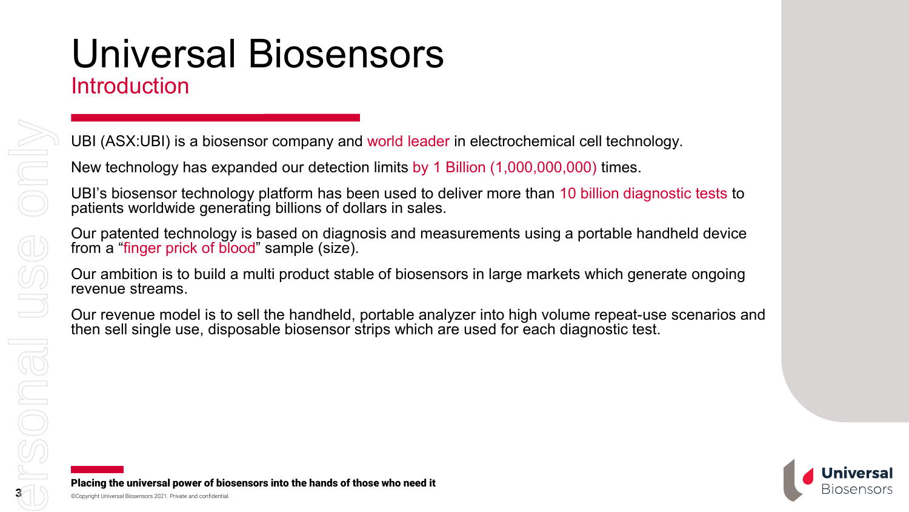### Universal Biosensors Introduction

UBI (ASX:UBI) is a biosensor company and world leader in electrochemical cell technology.

New technology has expanded our detection limits by 1 Billion (1,000,000,000) times.

UBI's biosensor technology platform has been used to deliver more than 10 billion diagnostic tests to patients worldwide generating billions of dollars in sales.

Our patented technology is based on diagnosis and measurements using a portable handheld device from a "finger prick of blood" sample (size).

Our ambition is to build a multi product stable of biosensors in large markets which generate ongoing revenue streams.

Our revenue model is to sell the handheld, portable analyzer into high volume repeat-use scenarios and then sell single use, disposable biosensor strips which are used for each diagnostic test.



3

ersonal use only

Jeoner

 $\bigcup \limits_{i=1}^{\infty}$ 

ONN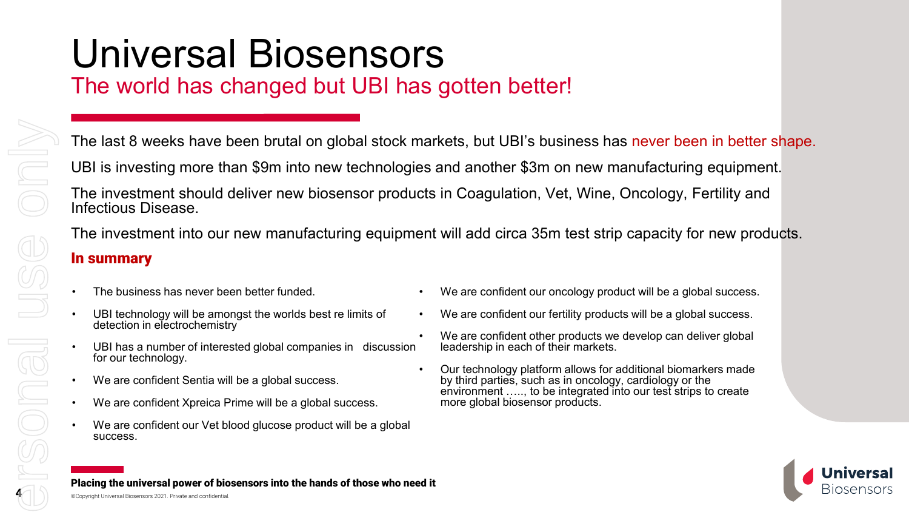## Universal Biosensors

### The world has changed but UBI has gotten better!

The last 8 weeks have been brutal on global stock markets, but UBI's business has never been in better shape.

UBI is investing more than \$9m into new technologies and another \$3m on new manufacturing equipment.

The investment should deliver new biosensor products in Coagulation, Vet, Wine, Oncology, Fertility and Infectious Disease.

The investment into our new manufacturing equipment will add circa 35m test strip capacity for new products. In summary

- The business has never been better funded.
- UBI technology will be amongst the worlds best re limits of detection in electrochemistry
- UBI has a number of interested global companies in discussion for our technology.
- We are confident Sentia will be a global success.
- We are confident Xpreica Prime will be a global success.
- We are confident our Vet blood glucose product will be a global success.
- We are confident our oncology product will be a global success.
- We are confident our fertility products will be a global success.
- We are confident other products we develop can deliver global leadership in each of their markets.
- Our technology platform allows for additional biomarkers made by third parties, such as in oncology, cardiology or the environment ….., to be integrated into our test strips to create more global biosensor products.



Placing the universal power of biosensors into the hands of those who need it

©Copyright Universal Biosensors 2021. Private and confidential.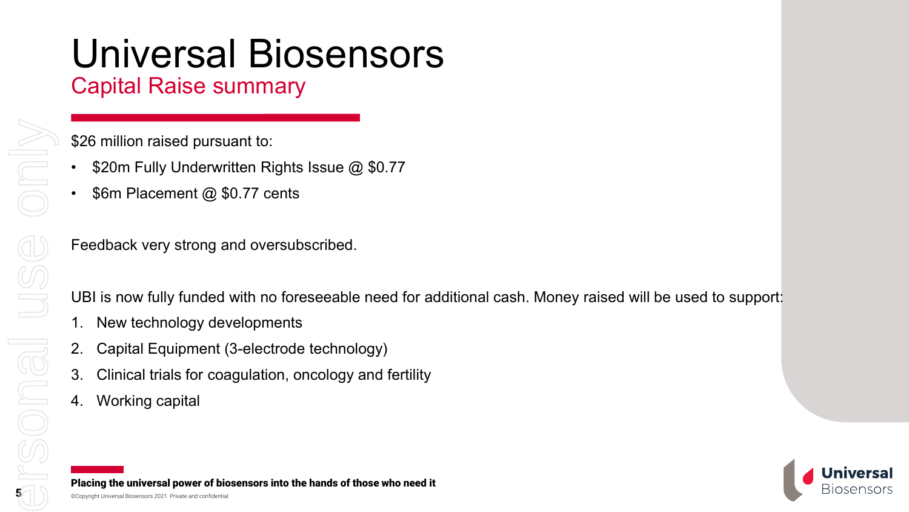## Universal Biosensors

### Capital Raise summary

\$26 million raised pursuant to:

- \$20m Fully Underwritten Rights Issue @ \$0.77
- \$6m Placement @ \$0.77 cents

Feedback very strong and oversubscribed.

UBI is now fully funded with no foreseeable need for additional cash. Money raised will be used to support:

- New technology developments
- 2. Capital Equipment (3-electrode technology)
- 3. Clinical trials for coagulation, oncology and fertility
- 4. Working capital

Placing the universal power of biosensors into the hands of those who need it

5

Sonal US

ONIO

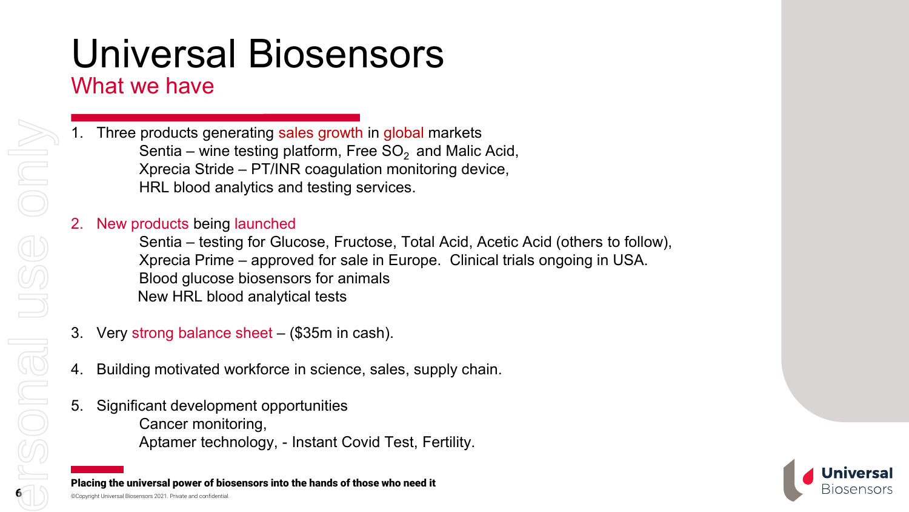## Universal Biosensors

### What we have

Three products generating sales growth in global markets Sentia – wine testing platform, Free  $SO<sub>2</sub>$  and Malic Acid, Xprecia Stride – PT/INR coagulation monitoring device, HRL blood analytics and testing services.

#### New products being launched

Sentia – testing for Glucose, Fructose, Total Acid, Acetic Acid (others to follow), Xprecia Prime – approved for sale in Europe. Clinical trials ongoing in USA. Blood glucose biosensors for animals New HRL blood analytical tests

- 3. Very strong balance sheet (\$35m in cash).
- 4. Building motivated workforce in science, sales, supply chain.
- 5. Significant development opportunities Cancer monitoring, Aptamer technology, - Instant Covid Test, Fertility.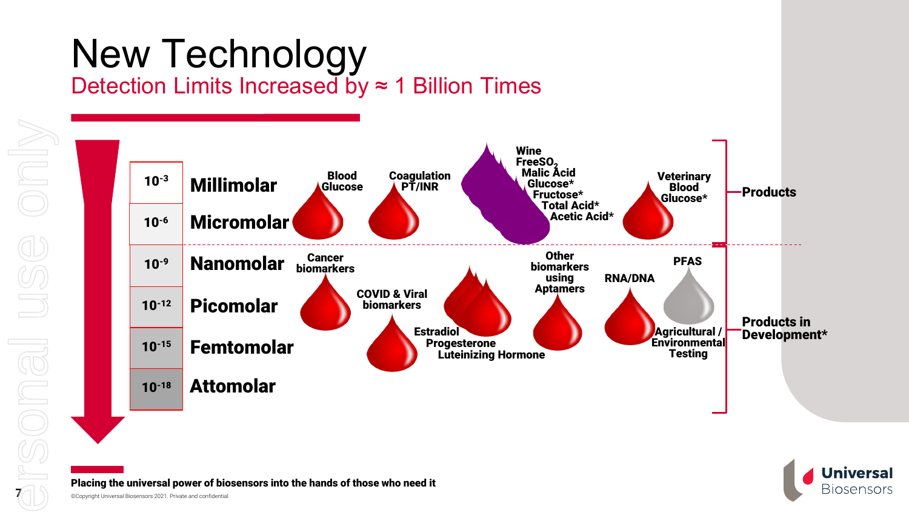### New Technology Detection Limits Increased by ≈ 1 Billion Times



**Universal Biosensors** 

Placing the universal power of biosensors into the hands of those who need it

©Copyright Universal Biosensors 2021. Private and confidential.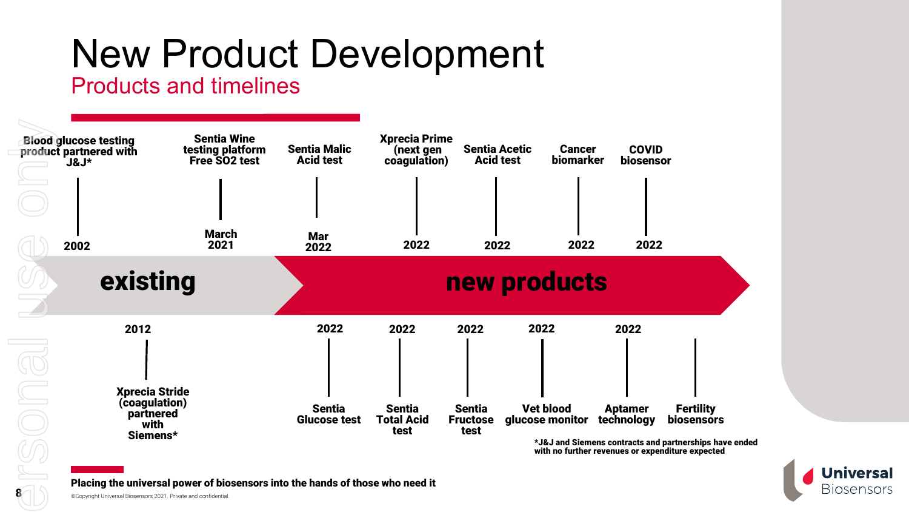## New Product Development

### Products and timelines





Placing the universal power of biosensors into the hands of those who need it

©Copyright Universal Biosensors 2021. Private and confidential.

8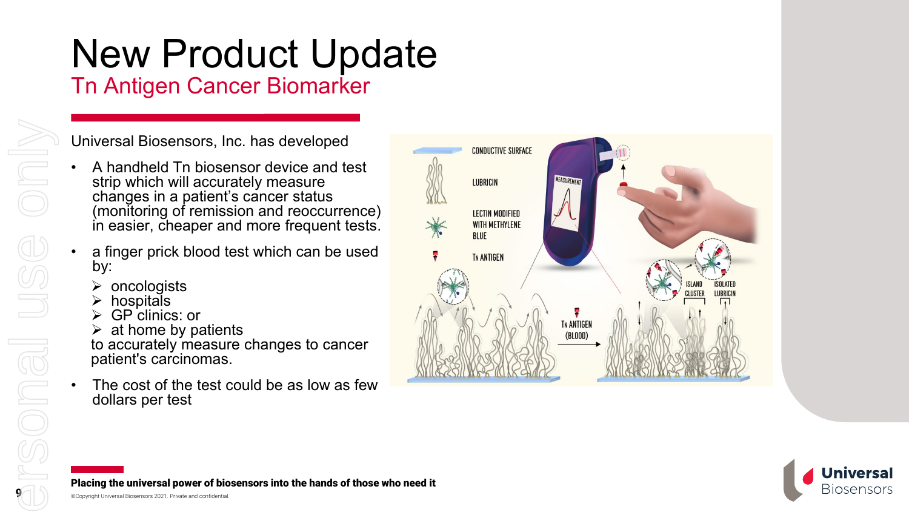# New Product Update

Tn Antigen Cancer Biomarker

Universal Biosensors, Inc. has developed

- A handheld Tn biosensor device and test strip which will accurately measure changes in a patient's cancer status (monitoring of remission and reoccurrence) in easier, cheaper and more frequent tests.
- a finger prick blood test which can be used by:
	- oncologists
	- hospitals
	- GP clinics: or
	- at home by patients
- to accurately measure changes to cancer patient's carcinomas.
- The cost of the test could be as low as few dollars per test





Placing the universal power of biosensors into the hands of those who need it

Only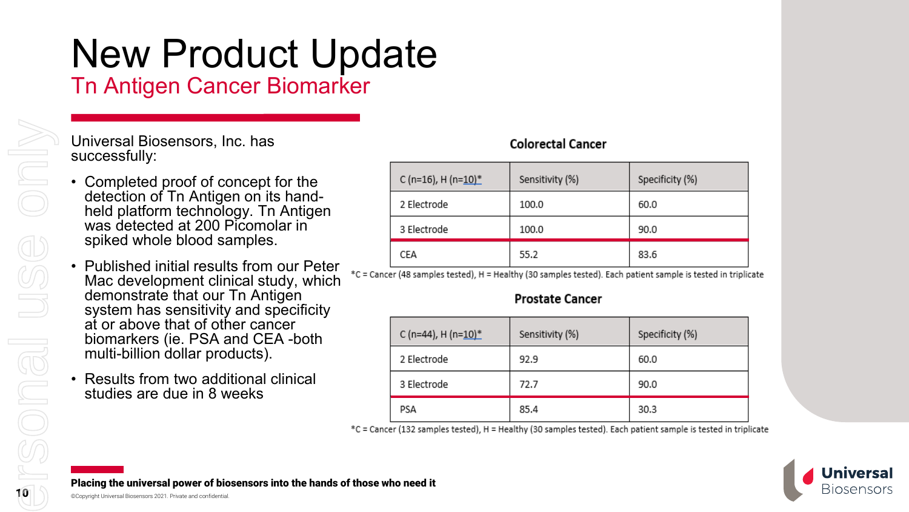## New Product Update

Tn Antigen Cancer Biomarker

#### Universal Biosensors, Inc. has successfully:

- Completed proof of concept for the detection of Tn Antigen on its hand-<br>held platform technology. Tn Antigen was detected at 200 Picomolar in spiked whole blood samples.
- Published initial results from our Peter Mac development clinical study, which demonstrate that our Tn Antigen system has sensitivity and specificity at or above that of other cancer biomarkers (ie. PSA and CEA -both multi-billion dollar products).
- Results from two additional clinical studies are due in 8 weeks

#### **Colorectal Cancer**

| C (n=16), H (n= $10$ ) <sup>*</sup> | Sensitivity (%) | Specificity (%) |
|-------------------------------------|-----------------|-----------------|
| 2 Electrode                         | 100.0           | 60.0            |
| 3 Electrode                         | 100.0           | 90.0            |
| CEA                                 | 55.2            | 83.6            |

\*C = Cancer (48 samples tested), H = Healthy (30 samples tested). Each patient sample is tested in triplicate

#### **Prostate Cancer**

| C (n=44), H (n= $10$ ) <sup>*</sup> | Sensitivity (%) | Specificity (%) |
|-------------------------------------|-----------------|-----------------|
| 2 Electrode                         | 92.9            | 60.0            |
| 3 Electrode                         | 72.7            | 90.0            |
| PSA                                 | 85.4            | 30.3            |

\*C = Cancer (132 samples tested), H = Healthy (30 samples tested). Each patient sample is tested in triplicate

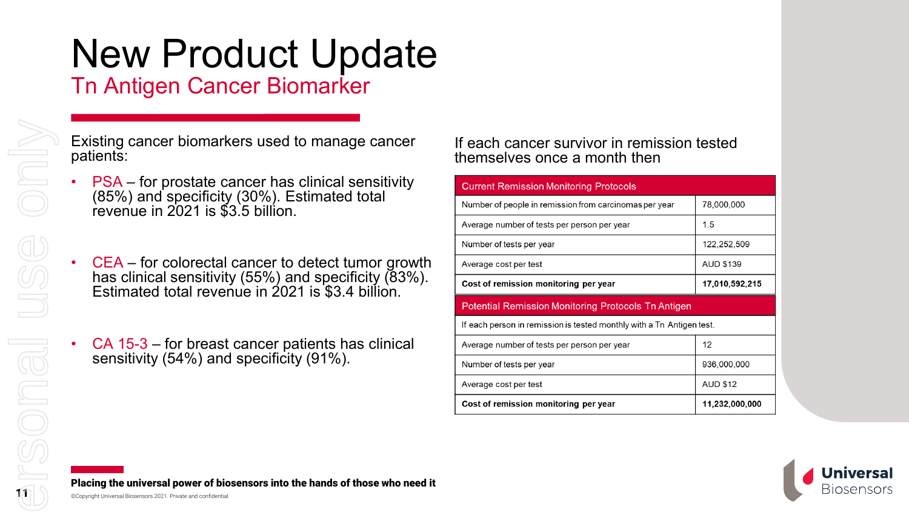# New Product Update

Tn Antigen Cancer Biomarker

Existing cancer biomarkers used to manage cancer patients:

- PSA for prostate cancer has clinical sensitivity (85%) and specificity (30%). Estimated total revenue in 2021 is \$3.5 billion.
- CEA for colorectal cancer to detect tumor growth has clinical sensitivity (55%) and specificity (83%). Estimated total revenue in 2021 is \$3.4 billion.
- CA 15-3 for breast cancer patients has clinical sensitivity (54%) and specificity (91%).

#### If each cancer survivor in remission tested themselves once a month then

| <b>Current Remission Monitoring Protocols</b>                         |                  |  |  |  |
|-----------------------------------------------------------------------|------------------|--|--|--|
| Number of people in remission from carcinomas per year                | 78,000,000       |  |  |  |
| Average number of tests per person per year                           | 15               |  |  |  |
| Number of tests per year                                              | 122,252,509      |  |  |  |
| Average cost per test                                                 | <b>AUD \$139</b> |  |  |  |
| Cost of remission monitoring per year                                 | 17,010,592,215   |  |  |  |
| <b>Potential Remission Monitoring Protocols Tn Antigen</b>            |                  |  |  |  |
|                                                                       |                  |  |  |  |
| If each person in remission is tested monthly with a Tn Antigen test. |                  |  |  |  |
| Average number of tests per person per year                           | 12               |  |  |  |
| Number of tests per year                                              | 936,000,000      |  |  |  |
| Average cost per test                                                 | <b>AUD \$12</b>  |  |  |  |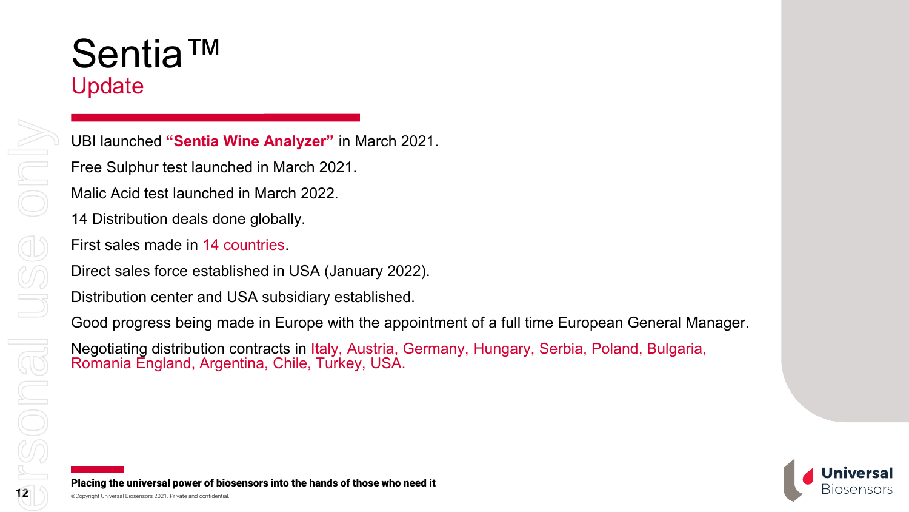### Sentia™ Update

UBI launched **"Sentia Wine Analyzer"** in March 2021. Free Sulphur test launched in March 2021. Malic Acid test launched in March 2022. 14 Distribution deals done globally. First sales made in 14 countries. Direct sales force established in USA (January 2022). Distribution center and USA subsidiary established. Good progress being made in Europe with the appointment of a full time European General Manager.

Negotiating distribution contracts in Italy, Austria, Germany, Hungary, Serbia, Poland, Bulgaria, Romania England, Argentina, Chile, Turkey, USA.

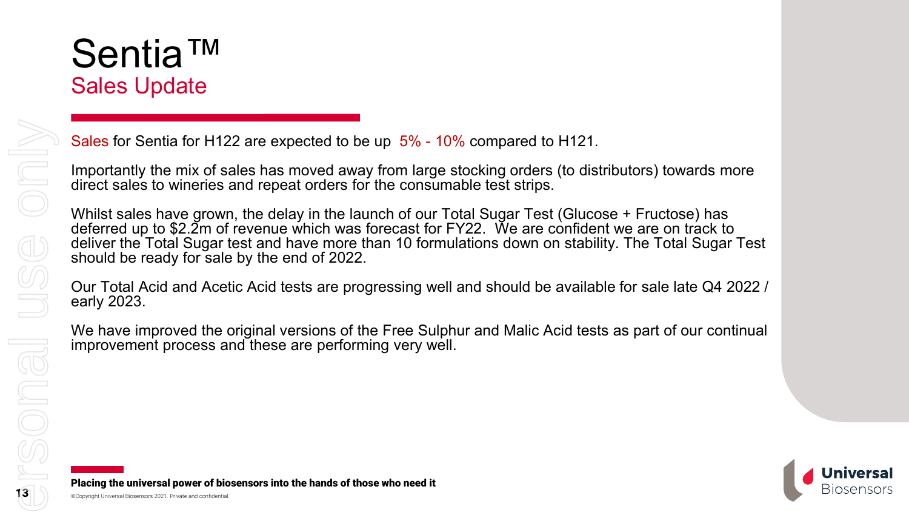## Sentia™ Sales Update

Sales for Sentia for H122 are expected to be up 5% - 10% compared to H121.

Importantly the mix of sales has moved away from large stocking orders (to distributors) towards more direct sales to wineries and repeat orders for the consumable test strips.

Whilst sales have grown, the delay in the launch of our Total Sugar Test (Glucose + Fructose) has deferred up to \$2.2m of revenue which was forecast for FY22. We are confident we are on track to deliver the Total Sugar test and have more than 10 formulations down on stability. The Total Sugar Test should be ready for sale by the end of 2022.

Our Total Acid and Acetic Acid tests are progressing well and should be available for sale late Q4 2022 / early 2023.

We have improved the original versions of the Free Sulphur and Malic Acid tests as part of our continual improvement process and these are performing very well.



only

USC

**PSONG**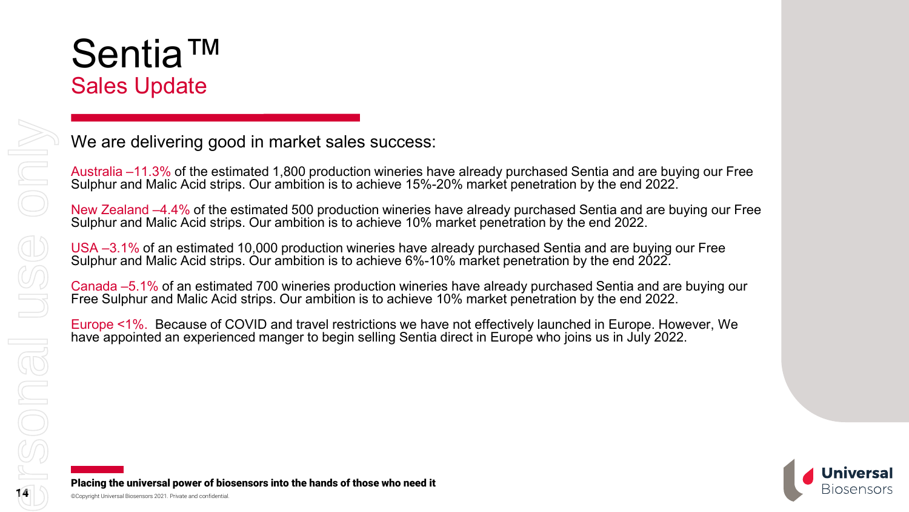## Sentia™ Sales Update

We are delivering good in market sales success:

Australia –11.3% of the estimated 1,800 production wineries have already purchased Sentia and are buying our Free Sulphur and Malic Acid strips. Our ambition is to achieve 15%-20% market penetration by the end 2022.

New Zealand –4.4% of the estimated 500 production wineries have already purchased Sentia and are buying our Free Sulphur and Malic Acid strips. Our ambition is to achieve 10% market penetration by the end 2022.

USA –3.1% of an estimated 10,000 production wineries have already purchased Sentia and are buying our Free Sulphur and Malic Acid strips. Our ambition is to achieve 6%-10% market penetration by the end 2022.

Canada –5.1% of an estimated 700 wineries production wineries have already purchased Sentia and are buying our Free Sulphur and Malic Acid strips. Our ambition is to achieve 10% market penetration by the end 2022.

Europe <1%. Because of COVID and travel restrictions we have not effectively launched in Europe. However, We have appointed an experienced manger to begin selling Sentia direct in Europe who joins us in July 2022.

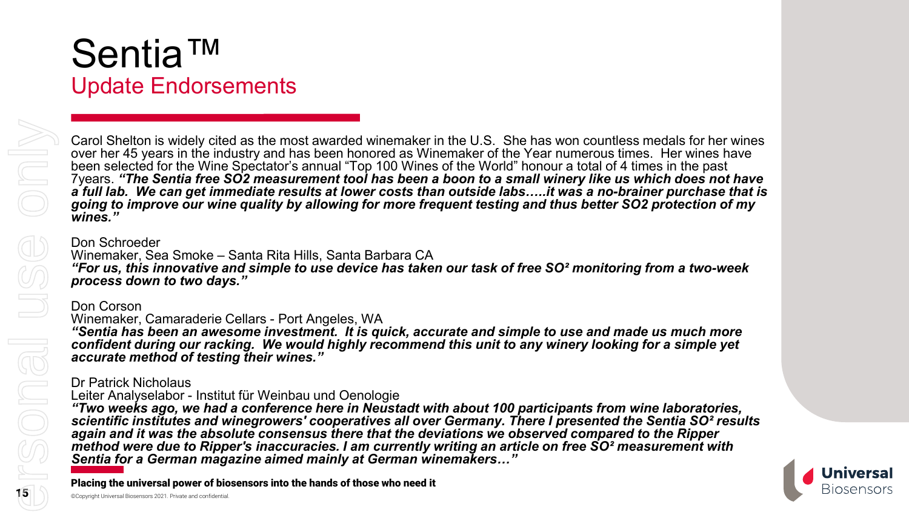## Sentia™ Update Endorsements

Carol Shelton is widely cited as the most awarded winemaker in the U.S. She has won countless medals for her wines over her 45 years in the industry and has been honored as Winemaker of the Year numerous times. Her wines have been selected for the Wine Spectator's annual "Top 100 Wines of the World" honour a total of 4 times in the past 7years. *"The Sentia free SO2 measurement tool has been a boon to a small winery like us which does not have a full lab. We can get immediate results at lower costs than outside labs…..it was a no-brainer purchase that is going to improve our wine quality by allowing for more frequent testing and thus better SO2 protection of my wines."*

#### Don Schroeder

Winemaker, Sea Smoke – Santa Rita Hills, Santa Barbara CA *"For us, this innovative and simple to use device has taken our task of free SO² monitoring from a two-week process down to two days."*

#### Don Corson

#### Winemaker, Camaraderie Cellars - Port Angeles, WA

*"Sentia has been an awesome investment. It is quick, accurate and simple to use and made us much more confident during our racking. We would highly recommend this unit to any winery looking for a simple yet accurate method of testing their wines."*

#### Dr Patrick Nicholaus

Leiter Analyselabor - Institut für Weinbau und Oenologie

*"Two weeks ago, we had a conference here in Neustadt with about 100 participants from wine laboratories, scientific institutes and winegrowers' cooperatives all over Germany. There I presented the Sentia SO² results again and it was the absolute consensus there that the deviations we observed compared to the Ripper method were due to Ripper's inaccuracies. I am currently writing an article on free SO² measurement with Sentia for a German magazine aimed mainly at German winemakers…"*

Placing the universal power of biosensors into the hands of those who need it

**NSONGU** 

NR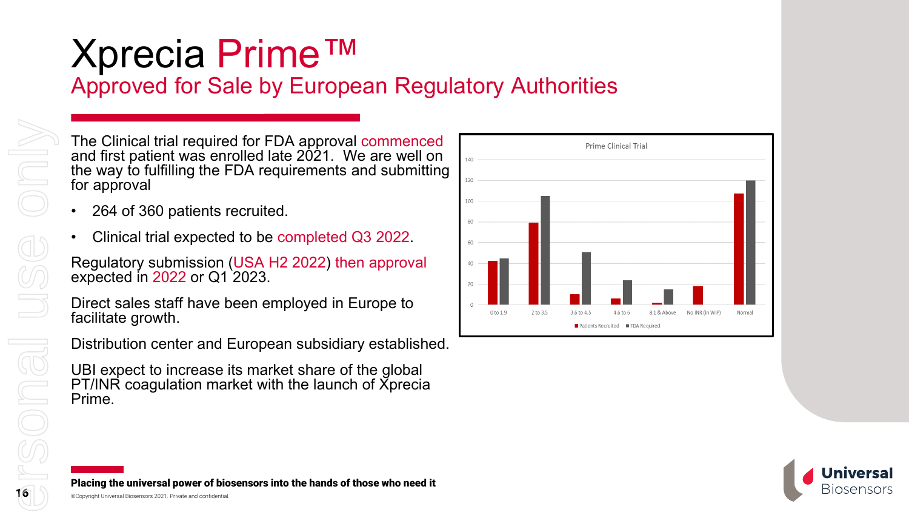### Xprecia Prime™ Approved for Sale by European Regulatory Authorities

The Clinical trial required for FDA approval commenced and first patient was enrolled late 2021. We are well on the way to fulfilling the FDA requirements and submitting for approval

- 264 of 360 patients recruited.
- Clinical trial expected to be completed Q3 2022.

Regulatory submission (USA H2 2022) then approval expected in 2022 or Q1 2023.

Direct sales staff have been employed in Europe to facilitate growth.

Distribution center and European subsidiary established.

UBI expect to increase its market share of the global PT/INR coagulation market with the launch of Xprecia Prime.





Placing the universal power of biosensors into the hands of those who need it

Din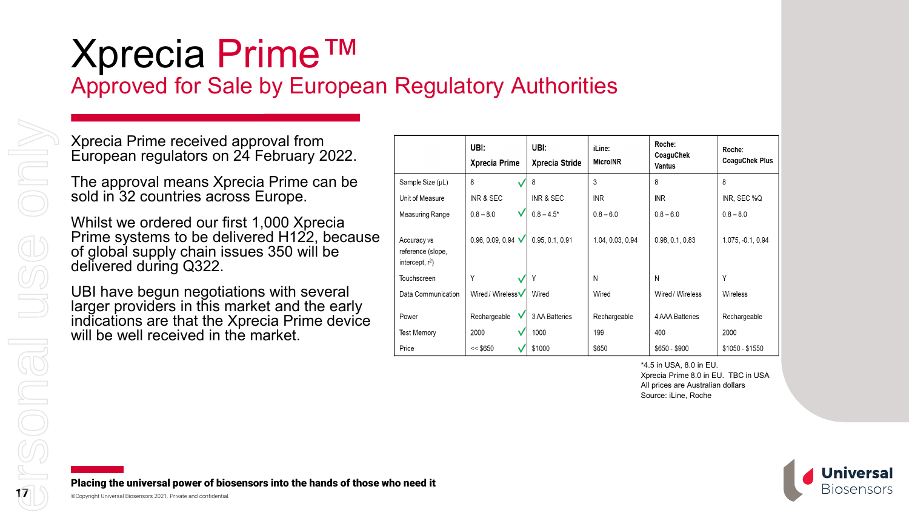### Xprecia Prime™ Approved for Sale by European Regulatory Authorities

Xprecia Prime received approval from European regulators on 24 February 2022.

The approval means Xprecia Prime can be sold in 32 countries across Europe.

Whilst we ordered our first 1,000 Xprecia Prime systems to be delivered H122, because of global supply chain issues 350 will be delivered during Q322.

UBI have begun negotiations with several larger providers in this market and the early indications are that the Xprecia Prime device will be well received in the market.

|                                                        | UBI:<br><b>Xprecia Prime</b> | UBI:<br>Xprecia Stride | iLine:<br><b>MicroINR</b> | Roche:<br>CoaguChek<br><b>Vantus</b> | Roche:<br><b>CoaguChek Plus</b> |
|--------------------------------------------------------|------------------------------|------------------------|---------------------------|--------------------------------------|---------------------------------|
| Sample Size (µL)                                       | 8                            | 8                      | 3                         | 8                                    | 8                               |
| Unit of Measure                                        | INR & SEC                    | INR & SEC              | <b>INR</b>                | <b>INR</b>                           | INR, SEC %Q                     |
| Measuring Range                                        | v<br>$0.8 - 8.0$             | $0.8 - 4.5*$           | $0.8 - 6.0$               | $0.8 - 6.0$                          | $0.8 - 8.0$                     |
| Accuracy vs<br>reference (slope,<br>intercept, $r^2$ ) | 0.96, 0.09, 0.94 $\sqrt$     | 0.95, 0.1, 0.91        | 1.04, 0.03, 0.94          | 0.98, 0.1, 0.83                      | 1.075, -0.1, 0.94               |
| Touchscreen                                            | Y                            | ν                      | N                         | N                                    | Υ                               |
| Data Communication                                     | Wired / Wireless V           | Wired                  | Wired                     | Wired / Wireless                     | <b>Wireless</b>                 |
| Power<br><b>Test Memory</b>                            | Rechargeable<br>2000         | 3 AA Batteries<br>1000 | Rechargeable<br>199       | 4 AAA Batteries<br>400               | Rechargeable<br>2000            |
| Price                                                  | << \$650                     | \$1000                 | \$650                     | \$650 - \$900                        | \$1050 - \$1550                 |

\*4.5 in USA, 8.0 in EU. Xprecia Prime 8.0 in EU. TBC in USA All prices are Australian dollars Source: iLine, Roche

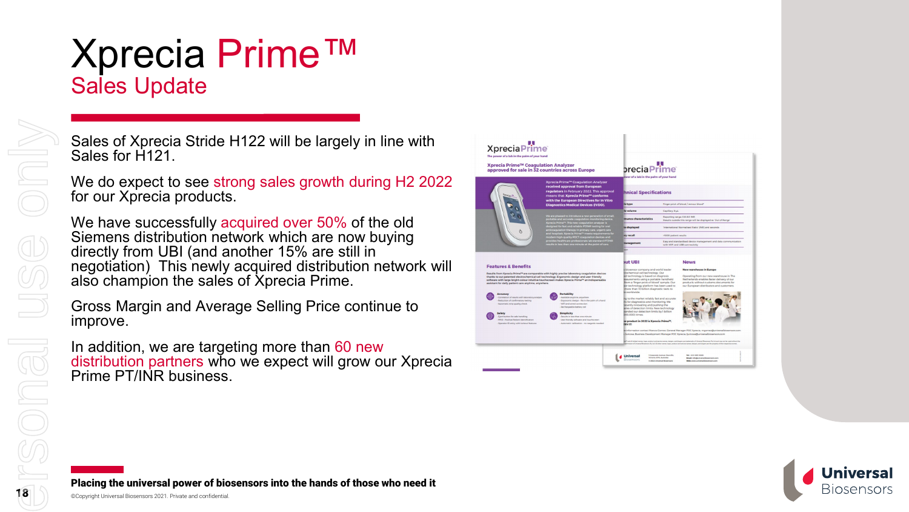## Xprecia Prime™ Sales Update

Sales of Xprecia Stride H122 will be largely in line with Sales for H121.

We do expect to see strong sales growth during H2 2022 for our Xprecia products.

We have successfully acquired over 50% of the old Siemens distribution network which are now buying directly from UBI (and another 15% are still in negotiation) This newly acquired distribution network will also champion the sales of Xprecia Prime.

Gross Margin and Average Selling Price continue to improve.

In addition, we are targeting more than 60 new distribution partners who we expect will grow our Xprecia Prime PT/INR business.





Placing the universal power of biosensors into the hands of those who need it

SONG

Onl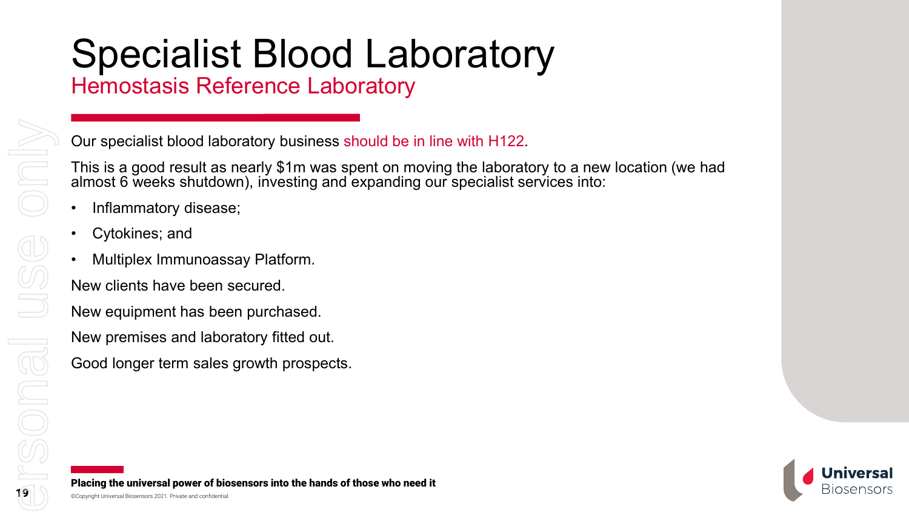# Specialist Blood Laboratory

Hemostasis Reference Laboratory

Our specialist blood laboratory business should be in line with H122.

This is a good result as nearly \$1m was spent on moving the laboratory to a new location (we had almost 6 weeks shutdown), investing and expanding our specialist services into:

- Inflammatory disease;
- Cytokines; and
- Multiplex Immunoassay Platform.

New clients have been secured.

New equipment has been purchased.

New premises and laboratory fitted out.

Good longer term sales growth prospects.

Placing the universal power of biosensors into the hands of those who need it



Only

USS

SONG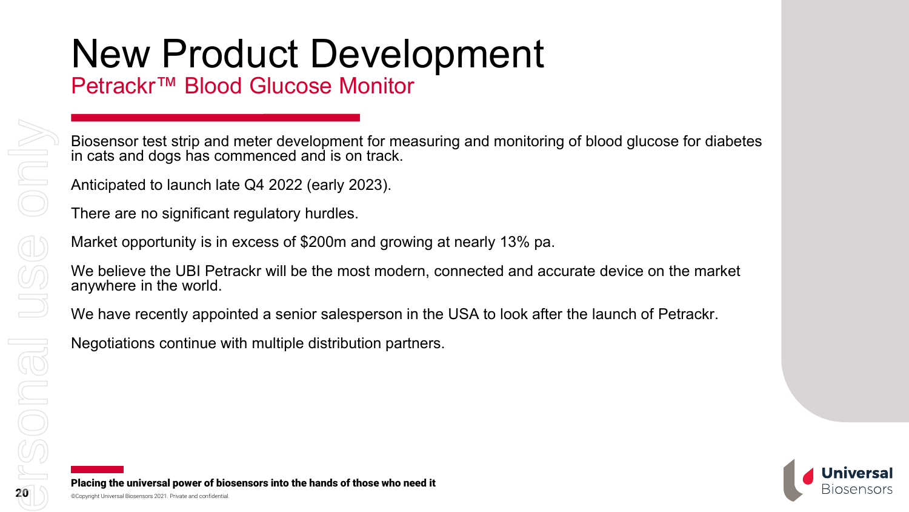# New Product Development

Petrackr™ Blood Glucose Monitor

Biosensor test strip and meter development for measuring and monitoring of blood glucose for diabetes in cats and dogs has commenced and is on track.

Anticipated to launch late Q4 2022 (early 2023).

There are no significant regulatory hurdles.

Market opportunity is in excess of \$200m and growing at nearly 13% pa.

We believe the UBI Petrackr will be the most modern, connected and accurate device on the market anywhere in the world.

We have recently appointed a senior salesperson in the USA to look after the launch of Petrackr.

Negotiations continue with multiple distribution partners.

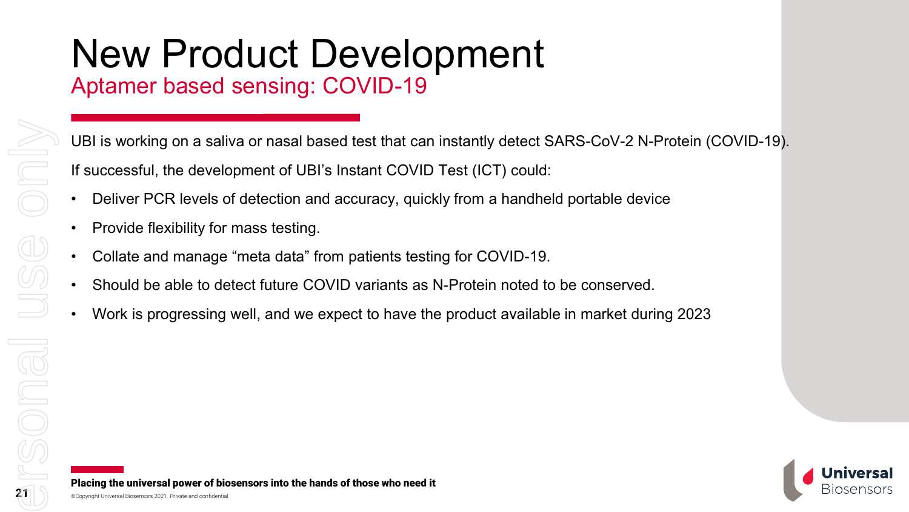### New Product Development Aptamer based sensing: COVID-19

UBI is working on a saliva or nasal based test that can instantly detect SARS-CoV-2 N-Protein (COVID-19). If successful, the development of UBI's Instant COVID Test (ICT) could:

- Deliver PCR levels of detection and accuracy, quickly from a handheld portable device
- Provide flexibility for mass testing.
- Collate and manage "meta data" from patients testing for COVID-19.
- Should be able to detect future COVID variants as N-Protein noted to be conserved.
- Work is progressing well, and we expect to have the product available in market during 2023

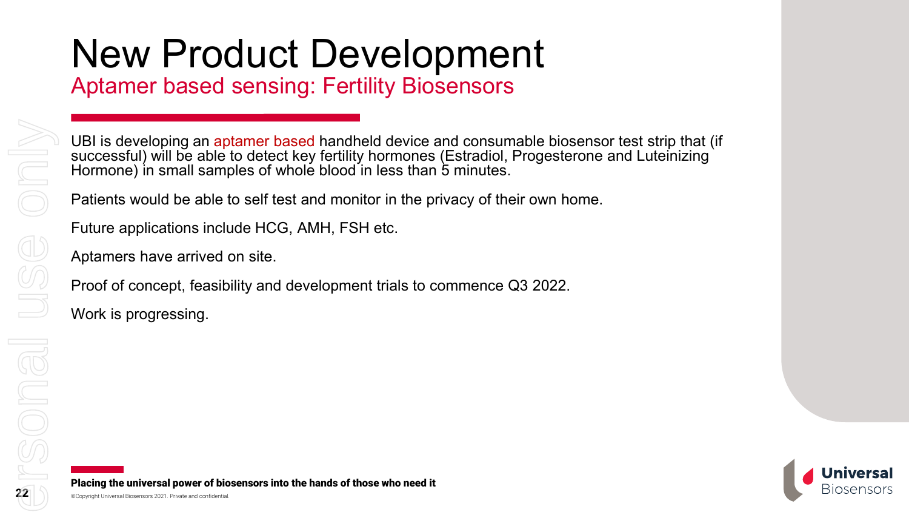# New Product Development

Aptamer based sensing: Fertility Biosensors

UBI is developing an aptamer based handheld device and consumable biosensor test strip that (if successful) will be able to detect key fertility hormones (Estradiol, Progesterone and Luteinizing Hormone) in small samples of whole blood in less than 5 minutes.

Patients would be able to self test and monitor in the privacy of their own home.

Future applications include HCG, AMH, FSH etc.

Aptamers have arrived on site.

Proof of concept, feasibility and development trials to commence Q3 2022.

Work is progressing.

22

For personal use only

SONG

n

USC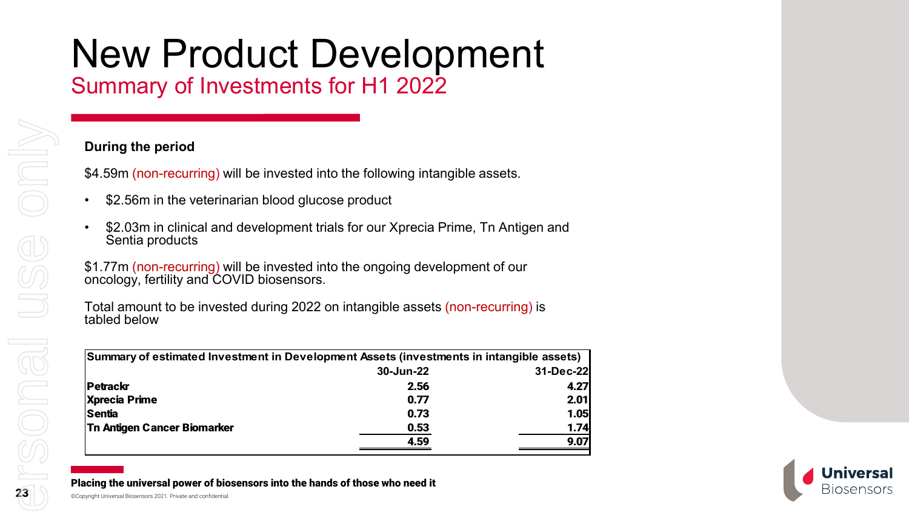# New Product Development

Summary of Investments for H1 2022

#### **During the period**

\$4.59m (non-recurring) will be invested into the following intangible assets.

- \$2.56m in the veterinarian blood glucose product
- \$2.03m in clinical and development trials for our Xprecia Prime, Tn Antigen and Sentia products

\$1.77m (non-recurring) will be invested into the ongoing development of our oncology, fertility and COVID biosensors.

Total amount to be invested during 2022 on intangible assets (non-recurring) is tabled below

| Summary of estimated Investment in Development Assets (investments in intangible assets) |           |           |  |
|------------------------------------------------------------------------------------------|-----------|-----------|--|
|                                                                                          | 30-Jun-22 | 31-Dec-22 |  |
| Petrackr                                                                                 | 2.56      | 4.27      |  |
| <b>Xprecia Prime</b>                                                                     | 0.77      | 2.01      |  |
| Sentia                                                                                   | 0.73      | 1.05      |  |
| <b>Tn Antigen Cancer Biomarker</b>                                                       | 0.53      | 1.74      |  |
|                                                                                          | 4.59      | 9.07      |  |

Placing the universal power of biosensors into the hands of those who need it



nlv

 $\bigoplus$ 

SONG